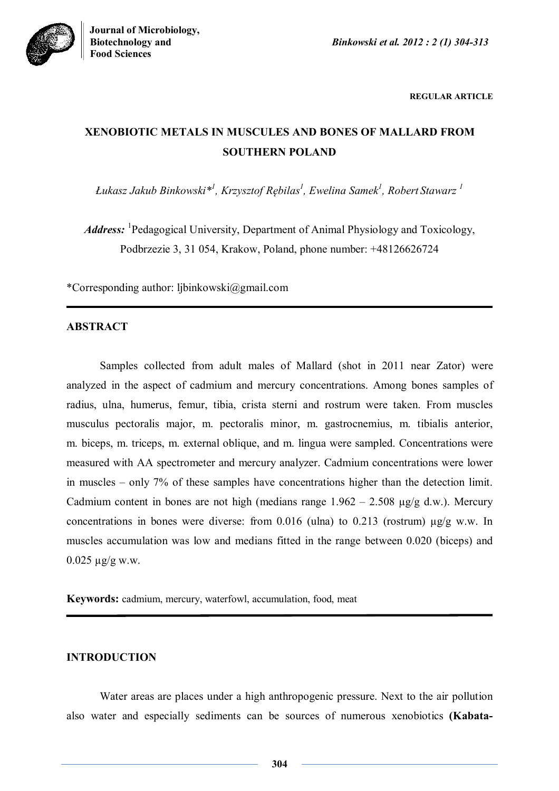



**REGULAR ARTICLE**

# **XENOBIOTIC METALS IN MUSCULES AND BONES OF MALLARD FROM SOUTHERN POLAND**

*Łukasz Jakub Binkowski\* 1 , Krzysztof Rębilas<sup>1</sup> , Ewelina Samek<sup>1</sup> , Robert Stawarz <sup>1</sup>*

Address: <sup>1</sup>Pedagogical University, Department of Animal Physiology and Toxicology, Podbrzezie 3, 31 054, Krakow, Poland, phone number: +48126626724

\*Corresponding author: ljbinkowski@gmail.com

# **ABSTRACT**

Samples collected from adult males of Mallard (shot in 2011 near Zator) were analyzed in the aspect of cadmium and mercury concentrations. Among bones samples of radius, ulna, humerus, femur, tibia, crista sterni and rostrum were taken. From muscles musculus pectoralis major, m. pectoralis minor, m. gastrocnemius, m. tibialis anterior, m. biceps, m. triceps, m. external oblique, and m. lingua were sampled. Concentrations were measured with AA spectrometer and mercury analyzer. Cadmium concentrations were lower in muscles – only 7% of these samples have concentrations higher than the detection limit. Cadmium content in bones are not high (medians range  $1.962 - 2.508 \mu g/g d.w.$ ). Mercury concentrations in bones were diverse: from  $0.016$  (ulna) to  $0.213$  (rostrum)  $\mu$ g/g w.w. In muscles accumulation was low and medians fitted in the range between 0.020 (biceps) and  $0.025 \mu g/g$  w.w.

**Keywords:** cadmium, mercury, waterfowl, accumulation, food, meat

## **INTRODUCTION**

Water areas are places under a high anthropogenic pressure. Next to the air pollution also water and especially sediments can be sources of numerous xenobiotics **(Kabata-**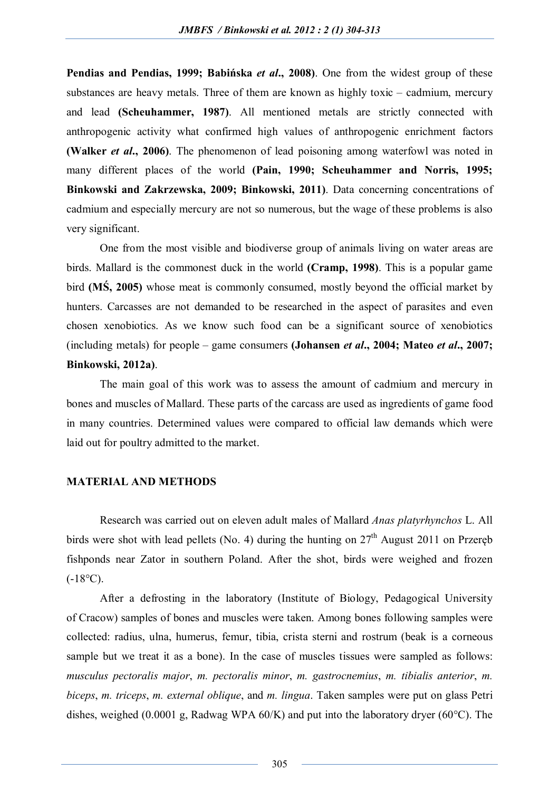**Pendias and Pendias, 1999; Babińska** *et al***., 2008)**. One from the widest group of these substances are heavy metals. Three of them are known as highly toxic – cadmium, mercury and lead **(Scheuhammer, 1987)**. All mentioned metals are strictly connected with anthropogenic activity what confirmed high values of anthropogenic enrichment factors **(Walker** *et al***., 2006)**. The phenomenon of lead poisoning among waterfowl was noted in many different places of the world **(Pain, 1990; Scheuhammer and Norris, 1995; Binkowski and Zakrzewska, 2009; Binkowski, 2011)**. Data concerning concentrations of cadmium and especially mercury are not so numerous, but the wage of these problems is also very significant.

One from the most visible and biodiverse group of animals living on water areas are birds. Mallard is the commonest duck in the world **(Cramp, 1998)**. This is a popular game bird **(MŚ, 2005)** whose meat is commonly consumed, mostly beyond the official market by hunters. Carcasses are not demanded to be researched in the aspect of parasites and even chosen xenobiotics. As we know such food can be a significant source of xenobiotics (including metals) for people – game consumers **(Johansen** *et al***., 2004; Mateo** *et al***., 2007; Binkowski, 2012a)**.

The main goal of this work was to assess the amount of cadmium and mercury in bones and muscles of Mallard. These parts of the carcass are used as ingredients of game food in many countries. Determined values were compared to official law demands which were laid out for poultry admitted to the market.

## **MATERIAL AND METHODS**

Research was carried out on eleven adult males of Mallard *Anas platyrhynchos* L. All birds were shot with lead pellets (No. 4) during the hunting on  $27<sup>th</sup>$  August 2011 on Przeręb fishponds near Zator in southern Poland. After the shot, birds were weighed and frozen  $(-18^{\circ}C)$ .

After a defrosting in the laboratory (Institute of Biology, Pedagogical University of Cracow) samples of bones and muscles were taken. Among bones following samples were collected: radius, ulna, humerus, femur, tibia, crista sterni and rostrum (beak is a corneous sample but we treat it as a bone). In the case of muscles tissues were sampled as follows: *musculus pectoralis major*, *m. pectoralis minor*, *m. gastrocnemius*, *m. tibialis anterior*, *m. biceps*, *m. triceps*, *m. external oblique*, and *m. lingua*. Taken samples were put on glass Petri dishes, weighed (0.0001 g, Radwag WPA  $60/K$ ) and put into the laboratory dryer (60 $^{\circ}$ C). The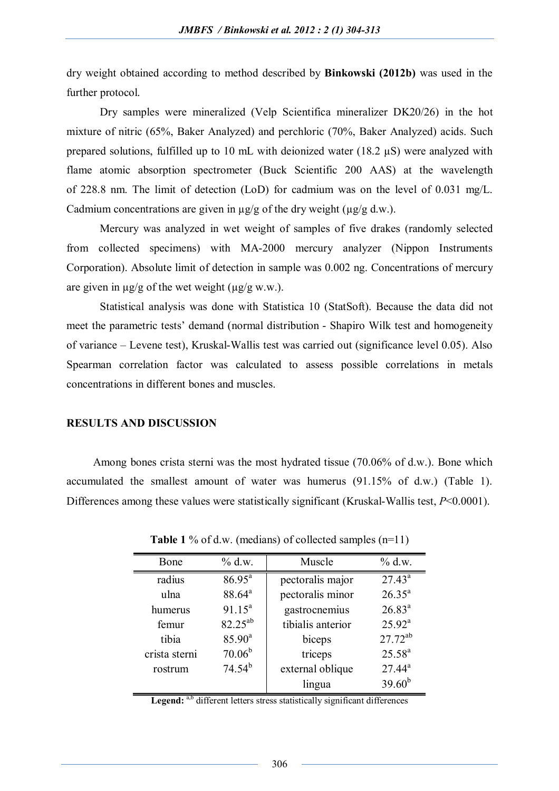dry weight obtained according to method described by **Binkowski (2012b)** was used in the further protocol.

Dry samples were mineralized (Velp Scientifica mineralizer DK20/26) in the hot mixture of nitric (65%, Baker Analyzed) and perchloric (70%, Baker Analyzed) acids. Such prepared solutions, fulfilled up to 10 mL with deionized water (18.2  $\mu$ S) were analyzed with flame atomic absorption spectrometer (Buck Scientific 200 AAS) at the wavelength of 228.8 nm. The limit of detection (LoD) for cadmium was on the level of 0.031 mg/L. Cadmium concentrations are given in  $\mu$ g/g of the dry weight ( $\mu$ g/g d.w.).

Mercury was analyzed in wet weight of samples of five drakes (randomly selected from collected specimens) with MA-2000 mercury analyzer (Nippon Instruments Corporation). Absolute limit of detection in sample was 0.002 ng. Concentrations of mercury are given in  $\mu$ g/g of the wet weight ( $\mu$ g/g w.w.).

Statistical analysis was done with Statistica 10 (StatSoft). Because the data did not meet the parametric tests' demand (normal distribution - Shapiro Wilk test and homogeneity of variance – Levene test), Kruskal-Wallis test was carried out (significance level 0.05). Also Spearman correlation factor was calculated to assess possible correlations in metals concentrations in different bones and muscles.

## **RESULTS AND DISCUSSION**

Among bones crista sterni was the most hydrated tissue (70.06% of d.w.). Bone which accumulated the smallest amount of water was humerus (91.15% of d.w.) (Table 1). Differences among these values were statistically significant (Kruskal-Wallis test, *P*<0.0001).

| Bone          | % d.w.             | Muscle            | $\%$ d.w.    |
|---------------|--------------------|-------------------|--------------|
| radius        | $86.95^{a}$        | pectoralis major  | $27.43^{a}$  |
| ulna          | 88.64 <sup>a</sup> | pectoralis minor  | $26.35^{a}$  |
| humerus       | $91.15^a$          | gastrocnemius     | $26.83^{a}$  |
| femur         | $82.25^{ab}$       | tibialis anterior | $25.92^a$    |
| tibia         | $85.90^{\circ}$    | biceps            | $27.72^{ab}$ |
| crista sterni | $70.06^{b}$        | triceps           | $25.58^{a}$  |
| rostrum       | $74.54^{b}$        | external oblique  | $27.44^a$    |
|               |                    | lingua            | $39.60^{b}$  |

**Table 1** % of d.w. (medians) of collected samples (n=11)

Legend: <sup>a,b</sup> different letters stress statistically significant differences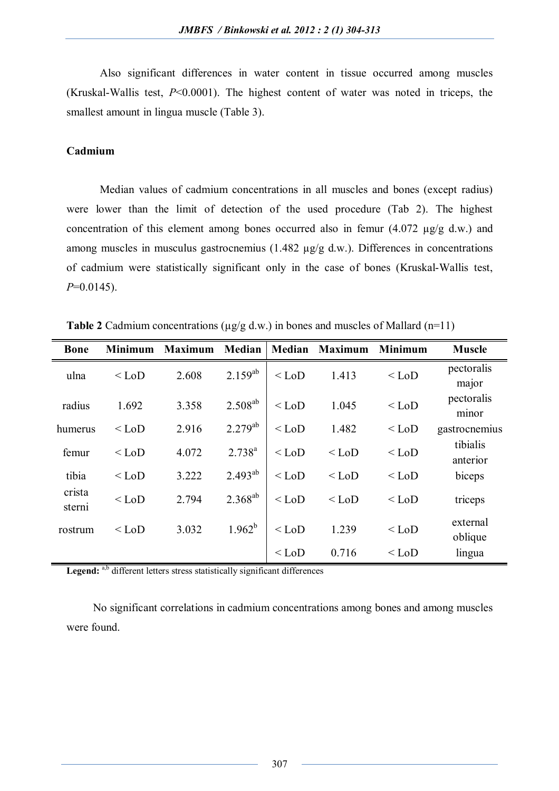Also significant differences in water content in tissue occurred among muscles (Kruskal-Wallis test, *P*<0.0001). The highest content of water was noted in triceps, the smallest amount in lingua muscle (Table 3).

## **Cadmium**

Median values of cadmium concentrations in all muscles and bones (except radius) were lower than the limit of detection of the used procedure (Tab 2). The highest concentration of this element among bones occurred also in femur  $(4.072 \mu g/g d.w.)$  and among muscles in musculus gastrocnemius (1.482 µg/g d.w.). Differences in concentrations of cadmium were statistically significant only in the case of bones (Kruskal-Wallis test, *P*=0.0145).

| <b>Bone</b>      | <b>Minimum</b> | <b>Maximum</b> | <b>Median</b> | Median  | <b>Maximum</b> | <b>Minimum</b> | <b>Muscle</b>        |
|------------------|----------------|----------------|---------------|---------|----------------|----------------|----------------------|
| ulna             | $<$ LoD        | 2.608          | $2.159^{ab}$  | $<$ LoD | 1.413          | $<$ LoD        | pectoralis<br>major  |
| radius           | 1.692          | 3.358          | $2.508^{ab}$  | $<$ LoD | 1.045          | $<$ LoD        | pectoralis<br>minor  |
| humerus          | $<$ LoD        | 2.916          | $2.279^{ab}$  | $<$ LoD | 1.482          | $<$ LoD        | gastrocnemius        |
| femur            | $<$ LoD        | 4.072          | $2.738^{a}$   | $<$ LoD | $<$ LoD        | $<$ LoD        | tibialis<br>anterior |
| tibia            | $<$ LoD        | 3.222          | $2.493^{ab}$  | $<$ LoD | $<$ LoD        | $<$ LoD        | biceps               |
| crista<br>sterni | $<$ LoD        | 2.794          | $2.368^{ab}$  | $<$ LoD | $<$ LoD        | $<$ LoD        | triceps              |
| rostrum          | $<$ LoD        | 3.032          | $1.962^{b}$   | $<$ LoD | 1.239          | $<$ LoD        | external<br>oblique  |
|                  |                |                |               | $<$ LoD | 0.716          | $<$ LoD        | lingua               |

**Table 2** Cadmium concentrations ( $\mu$ g/g d.w.) in bones and muscles of Mallard (n=11)

Legend: <sup>a,b</sup> different letters stress statistically significant differences

No significant correlations in cadmium concentrations among bones and among muscles were found.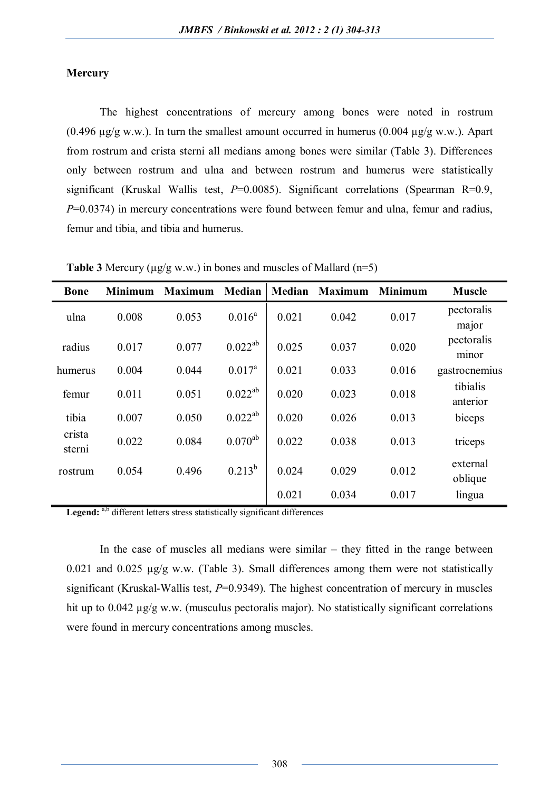## **Mercury**

The highest concentrations of mercury among bones were noted in rostrum (0.496  $\mu$ g/g w.w.). In turn the smallest amount occurred in humerus (0.004  $\mu$ g/g w.w.). Apart from rostrum and crista sterni all medians among bones were similar (Table 3). Differences only between rostrum and ulna and between rostrum and humerus were statistically significant (Kruskal Wallis test, *P*=0.0085). Significant correlations (Spearman R=0.9, *P*=0.0374) in mercury concentrations were found between femur and ulna, femur and radius, femur and tibia, and tibia and humerus.

| <b>Bone</b>      | <b>Minimum</b> | <b>Maximum</b> | <b>Median</b> | Median | <b>Maximum</b> | <b>Minimum</b> | <b>Muscle</b>        |
|------------------|----------------|----------------|---------------|--------|----------------|----------------|----------------------|
| ulna             | 0.008          | 0.053          | $0.016^a$     | 0.021  | 0.042          | 0.017          | pectoralis<br>major  |
| radius           | 0.017          | 0.077          | $0.022^{ab}$  | 0.025  | 0.037          | 0.020          | pectoralis<br>minor  |
| humerus          | 0.004          | 0.044          | $0.017^a$     | 0.021  | 0.033          | 0.016          | gastrocnemius        |
| femur            | 0.011          | 0.051          | $0.022^{ab}$  | 0.020  | 0.023          | 0.018          | tibialis<br>anterior |
| tibia            | 0.007          | 0.050          | $0.022^{ab}$  | 0.020  | 0.026          | 0.013          | biceps               |
| crista<br>sterni | 0.022          | 0.084          | $0.070^{ab}$  | 0.022  | 0.038          | 0.013          | triceps              |
| rostrum          | 0.054          | 0.496          | $0.213^{b}$   | 0.024  | 0.029          | 0.012          | external<br>oblique  |
|                  |                |                |               | 0.021  | 0.034          | 0.017          | lingua               |

**Table 3** Mercury ( $\mu$ g/g w.w.) in bones and muscles of Mallard ( $n=5$ )

Legend: <sup>a,b</sup> different letters stress statistically significant differences

In the case of muscles all medians were similar  $-$  they fitted in the range between 0.021 and 0.025 µg/g w.w. (Table 3). Small differences among them were not statistically significant (Kruskal-Wallis test, *P*=0.9349). The highest concentration of mercury in muscles hit up to 0.042  $\mu$ g/g w.w. (musculus pectoralis major). No statistically significant correlations were found in mercury concentrations among muscles.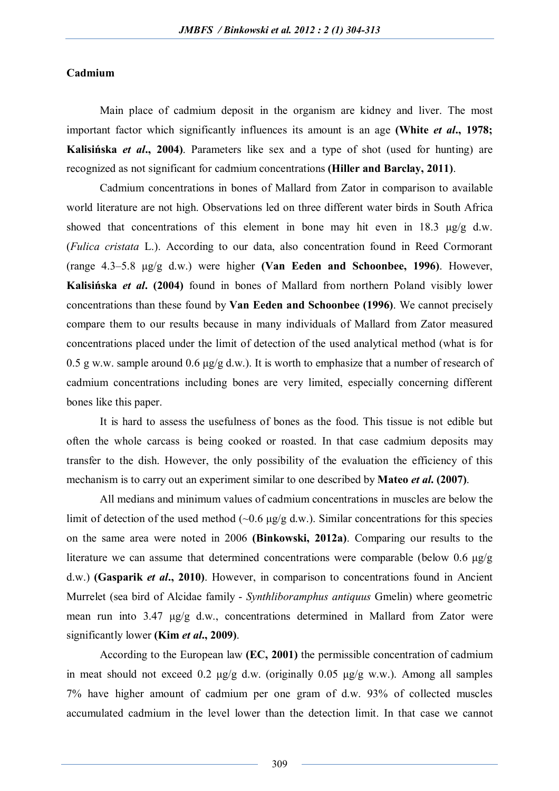## **Cadmium**

Main place of cadmium deposit in the organism are kidney and liver. The most important factor which significantly influences its amount is an age **(White** *et al***., 1978; Kalisińska** *et al***., 2004)**. Parameters like sex and a type of shot (used for hunting) are recognized as not significant for cadmium concentrations **(Hiller and Barclay, 2011)**.

Cadmium concentrations in bones of Mallard from Zator in comparison to available world literature are not high. Observations led on three different water birds in South Africa showed that concentrations of this element in bone may hit even in 18.3 μg/g d.w. (*Fulica cristata* L.). According to our data, also concentration found in Reed Cormorant (range 4.3–5.8 μg/g d.w.) were higher **(Van Eeden and Schoonbee, 1996)**. However, **Kalisińska** *et al***. (2004)** found in bones of Mallard from northern Poland visibly lower concentrations than these found by **Van Eeden and Schoonbee (1996)**. We cannot precisely compare them to our results because in many individuals of Mallard from Zator measured concentrations placed under the limit of detection of the used analytical method (what is for 0.5 g w.w. sample around 0.6  $\mu$ g/g d.w.). It is worth to emphasize that a number of research of cadmium concentrations including bones are very limited, especially concerning different bones like this paper.

It is hard to assess the usefulness of bones as the food. This tissue is not edible but often the whole carcass is being cooked or roasted. In that case cadmium deposits may transfer to the dish. However, the only possibility of the evaluation the efficiency of this mechanism is to carry out an experiment similar to one described by **Mateo** *et al***. (2007)**.

All medians and minimum values of cadmium concentrations in muscles are below the limit of detection of the used method ( $\sim 0.6$  μg/g d.w.). Similar concentrations for this species on the same area were noted in 2006 **(Binkowski, 2012a)**. Comparing our results to the literature we can assume that determined concentrations were comparable (below 0.6  $\mu$ g/g) d.w.) **(Gasparik** *et al***., 2010)**. However, in comparison to concentrations found in Ancient Murrelet (sea bird of Alcidae family - *Synthliboramphus antiquus* Gmelin) where geometric mean run into 3.47 μg/g d.w., concentrations determined in Mallard from Zator were significantly lower **(Kim** *et al***., 2009)**.

According to the European law **(EC, 2001)** the permissible concentration of cadmium in meat should not exceed 0.2  $\mu$ g/g d.w. (originally 0.05  $\mu$ g/g w.w.). Among all samples 7% have higher amount of cadmium per one gram of d.w. 93% of collected muscles accumulated cadmium in the level lower than the detection limit. In that case we cannot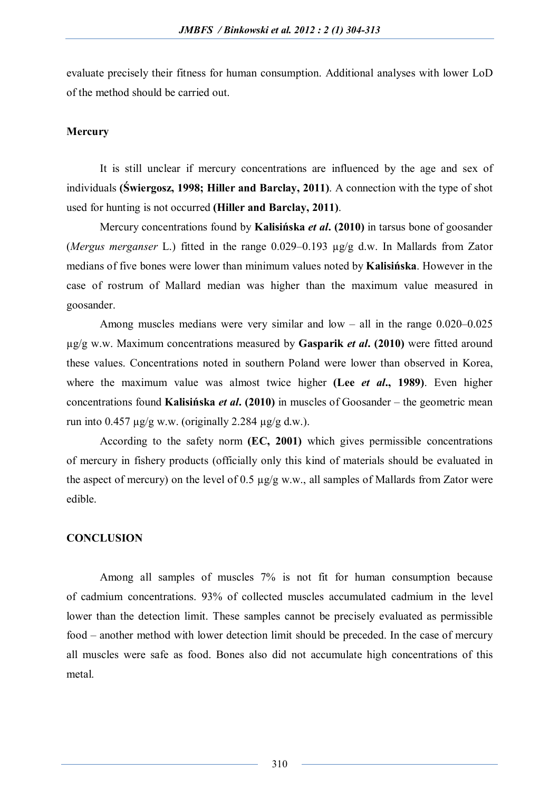evaluate precisely their fitness for human consumption. Additional analyses with lower LoD of the method should be carried out.

#### **Mercury**

It is still unclear if mercury concentrations are influenced by the age and sex of individuals **(Świergosz, 1998; Hiller and Barclay, 2011)**. A connection with the type of shot used for hunting is not occurred **(Hiller and Barclay, 2011)**.

Mercury concentrations found by **Kalisińska** *et al***. (2010)** in tarsus bone of goosander (*Mergus merganser* L.) fitted in the range 0.029–0.193 µg/g d.w. In Mallards from Zator medians of five bones were lower than minimum values noted by **Kalisińska**. However in the case of rostrum of Mallard median was higher than the maximum value measured in goosander.

Among muscles medians were very similar and low – all in the range 0.020–0.025 µg/g w.w. Maximum concentrations measured by **Gasparik** *et al***. (2010)** were fitted around these values. Concentrations noted in southern Poland were lower than observed in Korea, where the maximum value was almost twice higher **(Lee** *et al***., 1989)**. Even higher concentrations found **Kalisińska** *et al***. (2010)** in muscles of Goosander – the geometric mean run into  $0.457 \mu g/g$  w.w. (originally 2.284  $\mu g/g$  d.w.).

According to the safety norm **(EC, 2001)** which gives permissible concentrations of mercury in fishery products (officially only this kind of materials should be evaluated in the aspect of mercury) on the level of 0.5  $\mu$ g/g w.w., all samples of Mallards from Zator were edible.

#### **CONCLUSION**

Among all samples of muscles 7% is not fit for human consumption because of cadmium concentrations. 93% of collected muscles accumulated cadmium in the level lower than the detection limit. These samples cannot be precisely evaluated as permissible food – another method with lower detection limit should be preceded. In the case of mercury all muscles were safe as food. Bones also did not accumulate high concentrations of this metal.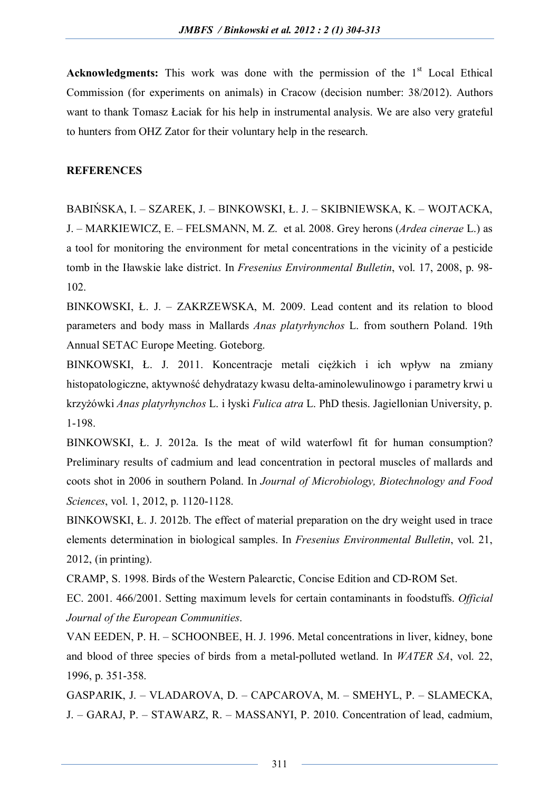**Acknowledgments:** This work was done with the permission of the  $1<sup>st</sup>$  Local Ethical Commission (for experiments on animals) in Cracow (decision number: 38/2012). Authors want to thank Tomasz Łaciak for his help in instrumental analysis. We are also very grateful to hunters from OHZ Zator for their voluntary help in the research.

#### **REFERENCES**

BABIŃSKA, I. – SZAREK, J. – BINKOWSKI, Ł. J. – SKIBNIEWSKA, K. – WOJTACKA, J. – MARKIEWICZ, E. – FELSMANN, M. Z. et al. 2008. Grey herons (*Ardea cinerae* L.) as a tool for monitoring the environment for metal concentrations in the vicinity of a pesticide tomb in the Iławskie lake district. In *Fresenius Environmental Bulletin*, vol. 17, 2008, p. 98- 102.

BINKOWSKI, Ł. J. – ZAKRZEWSKA, M. 2009. Lead content and its relation to blood parameters and body mass in Mallards *Anas platyrhynchos* L. from southern Poland. 19th Annual SETAC Europe Meeting. Goteborg.

BINKOWSKI, Ł. J. 2011. Koncentracje metali ciężkich i ich wpływ na zmiany histopatologiczne, aktywność dehydratazy kwasu delta-aminolewulinowgo i parametry krwi u krzyżówki *Anas platyrhynchos* L. i łyski *Fulica atra* L. PhD thesis. Jagiellonian University, p. 1-198.

BINKOWSKI, Ł. J. 2012a. Is the meat of wild waterfowl fit for human consumption? Preliminary results of cadmium and lead concentration in pectoral muscles of mallards and coots shot in 2006 in southern Poland. In *Journal of Microbiology, Biotechnology and Food Sciences*, vol. 1, 2012, p. 1120-1128.

BINKOWSKI, Ł. J. 2012b. The effect of material preparation on the dry weight used in trace elements determination in biological samples. In *Fresenius Environmental Bulletin*, vol. 21, 2012, (in printing).

CRAMP, S. 1998. Birds of the Western Palearctic, Concise Edition and CD-ROM Set.

EC. 2001. 466/2001. Setting maximum levels for certain contaminants in foodstuffs. *Official Journal of the European Communities*.

VAN EEDEN, P. H. – SCHOONBEE, H. J. 1996. Metal concentrations in liver, kidney, bone and blood of three species of birds from a metal-polluted wetland. In *WATER SA*, vol. 22, 1996, p. 351-358.

GASPARIK, J. – VLADAROVA, D. – CAPCAROVA, M. – SMEHYL, P. – SLAMECKA, J. – GARAJ, P. – STAWARZ, R. – MASSANYI, P. 2010. Concentration of lead, cadmium,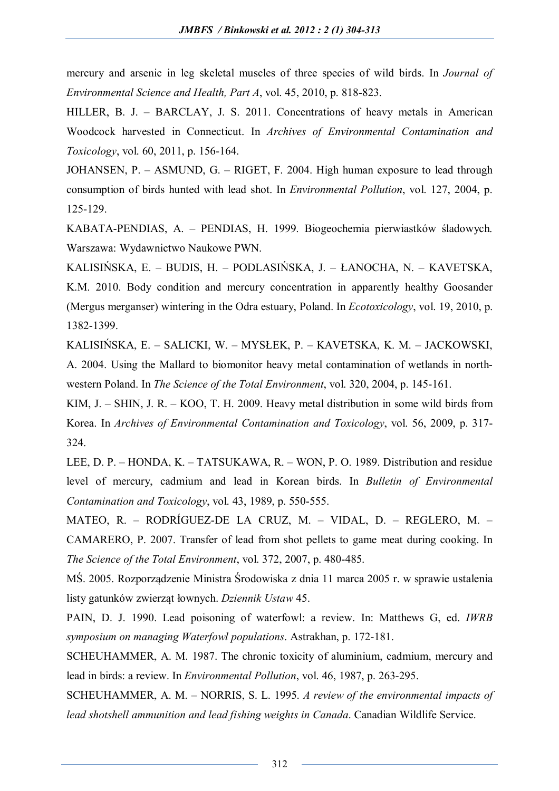mercury and arsenic in leg skeletal muscles of three species of wild birds. In *Journal of Environmental Science and Health, Part A*, vol. 45, 2010, p. 818-823.

HILLER, B. J. – BARCLAY, J. S. 2011. Concentrations of heavy metals in American Woodcock harvested in Connecticut. In *Archives of Environmental Contamination and Toxicology*, vol. 60, 2011, p. 156-164.

JOHANSEN, P. – ASMUND, G. – RIGET, F. 2004. High human exposure to lead through consumption of birds hunted with lead shot. In *Environmental Pollution*, vol. 127, 2004, p. 125-129.

KABATA-PENDIAS, A. – PENDIAS, H. 1999. Biogeochemia pierwiastków śladowych. Warszawa: Wydawnictwo Naukowe PWN.

KALISIŃSKA, E. – BUDIS, H. – PODLASIŃSKA, J. – ŁANOCHA, N. – KAVETSKA, K.M. 2010. Body condition and mercury concentration in apparently healthy Goosander (Mergus merganser) wintering in the Odra estuary, Poland. In *Ecotoxicology*, vol. 19, 2010, p. 1382-1399.

KALISIŃSKA, E. – SALICKI, W. – MYSŁEK, P. – KAVETSKA, K. M. – JACKOWSKI, A. 2004. Using the Mallard to biomonitor heavy metal contamination of wetlands in northwestern Poland. In *The Science of the Total Environment*, vol. 320, 2004, p. 145-161.

KIM, J. – SHIN, J. R. – KOO, T. H. 2009. Heavy metal distribution in some wild birds from Korea. In *Archives of Environmental Contamination and Toxicology*, vol. 56, 2009, p. 317- 324.

LEE, D. P. – HONDA, K. – TATSUKAWA, R. – WON, P. O. 1989. Distribution and residue level of mercury, cadmium and lead in Korean birds. In *Bulletin of Environmental Contamination and Toxicology*, vol. 43, 1989, p. 550-555.

MATEO, R. – RODRÍGUEZ-DE LA CRUZ, M. – VIDAL, D. – REGLERO, M. – CAMARERO, P. 2007. Transfer of lead from shot pellets to game meat during cooking. In *The Science of the Total Environment*, vol. 372, 2007, p. 480-485.

MŚ. 2005. Rozporządzenie Ministra Środowiska z dnia 11 marca 2005 r. w sprawie ustalenia listy gatunków zwierząt łownych. *Dziennik Ustaw* 45.

PAIN, D. J. 1990. Lead poisoning of waterfowl: a review. In: Matthews G, ed. *IWRB symposium on managing Waterfowl populations*. Astrakhan, p. 172-181.

SCHEUHAMMER, A. M. 1987. The chronic toxicity of aluminium, cadmium, mercury and lead in birds: a review. In *Environmental Pollution*, vol. 46, 1987, p. 263-295.

SCHEUHAMMER, A. M. – NORRIS, S. L. 1995. *A review of the environmental impacts of lead shotshell ammunition and lead fishing weights in Canada*. Canadian Wildlife Service.